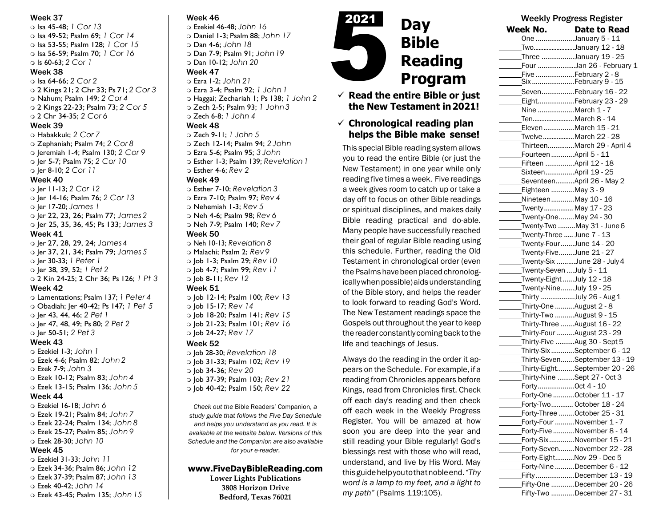### Week 37

 Isa 45-48; *1 Cor 13* Isa 49-52; Psalm 69; *1 Cor 14* Isa 53-55; Psalm 128; *1 Cor 15* Isa 56-59; Psalm 70; *1 Cor 16* Is 60-63; *2 Cor 1*

## Week 38

 Isa 64-66; *2 Cor 2* 2 Kings 21; 2 Chr 33; Ps 71; *2 Cor 3* Nahum; Psalm 149; *2 Cor 4* 2 Kings 22-23; Psalm 73; *2 Cor 5* 2 Chr 34-35; *2 Cor 6* Week 39 Habakkuk; *2 Cor 7* Zephaniah; Psalm 74; *2 Cor 8*

 Jeremiah 1-4; Psalm 130; *2 Cor 9* Jer 5-7; Psalm 75; *2 Cor 10* Jer 8-10; *2 Cor 11*

## Week 40

 Jer 11-13; *2 Cor 12* Jer 14-16; Psalm 76; *2 Cor 13* Jer 17-20; *James 1* Jer 22, 23, 26; Psalm 77; *James 2* Jer 25, 35, 36, 45; Ps 133; *James 3* Week 41 Jer 27, 28, 29, 24; *James 4*

 Jer 37, 21, 34; Psalm 79; *James 5* Jer 30-33; *1 Peter 1* Jer 38, 39, 52; *1 Pet 2* 2 Kin 24-25; 2 Chr 36; Ps 126; *1 Pt 3* Week 42

 Lamentations; Psalm 137; *1 Peter 4* Obadiah; Jer 40-42; Ps 147; *1 Pet 5* Jer 43, 44, 46; *2 Pet 1* Jer 47, 48, 49; Ps 80; *2 Pet 2* Jer 50-51; *2 Pet 3* Week 43

# Ezekiel 1-3; *John 1*

 Ezek 4-6; Psalm 82; *John 2* Ezek 7-9; *John 3* Ezek 10-12; Psalm 83; *John 4* Ezek 13-15; Psalm 136; *John 5* Week 44 Ezekiel 16-18; *John 6* Ezek 19-21; Psalm 84; *John 7*

- Ezek 22-24; Psalm 134; *John 8* Ezek 25-27; Psalm 85; *John 9*
- Ezek 28-30; *John 10*

# Week 45

- Ezekiel 31-33; *John 11* Ezek 34-36; Psalm 86; *John 12*
- Ezek 37-39; Psalm 87; *John 13*
- Ezek 40-42; *John 14*
- Ezek 43-45; Psalm 135; *John 15*

# Week 46

 Ezekiel 46-48; *John 16* Daniel 1-3; Psalm 88; *John 17* Dan 4-6; *John 18* Dan 7-9; Psalm 91; *John19* Dan 10-12; *John 20*

### Week 47

 Ezra 1-2; *John 21* Ezra 3-4; Psalm 92; *1 John 1* Haggai; Zechariah 1; Ps 138; *1 John 2* Zech 2-5; Psalm 93; *1 John3* Zech 6-8; *1 John 4* Week 48

- Zech 9-11; *1 John 5* Zech 12-14; Psalm 94; *2 John* Ezra 5-6; Psalm 95; *3 John*
- Esther 1-3; Psalm 139; *Revelation1* Esther 4-6; *Rev 2*

Week 49 Esther 7-10; *Revelation 3* Ezra 7-10; Psalm 97; *Rev 4* Nehemiah 1-3; *Rev 5* Neh 4-6; Psalm 98; *Rev 6* Neh 7-9; Psalm 140; *Rev 7* Week 50 Neh 10-13; *Revelation 8* Malachi; Psalm 2; *Rev9* Job 1-3; Psalm 29; *Rev 10* Job 4-7; Psalm 99; *Rev 11* Job 8-11; *Rev 12*

Week 51 Job 12-14; Psalm 100; *Rev 13* Job 15-17; *Rev 14* Job 18-20; Psalm 141; *Rev 15* Job 21-23; Psalm 101; *Rev 16* Job 24-27; *Rev 17*

## Week 52

 Job 28-30; *Revelation 18* Job 31-33; Psalm 102; *Rev 19* Job 34-36; *Rev 20* Job 37-39; Psalm 103; *Rev 21* Job 40-42; Psalm 150; *Rev 22*

*Check out the* Bible Readers' Companion, *a study guide that follows the Five Day Schedule and helps you understand as you read. It is available at the website below. Versions of this Schedule and the Companion are also available for your e-reader.*

# **[www.FiveDayBibleReading.com](http://www.fivedaybiblereading.com/)**

**Lower Lights Publications 3808 Horizon Drive Bedford, Texas 76021**



# ✓ **Read the entire Bible or just the New Testament in2021!**

# ✓ **Chronological reading plan helps the Bible make sense!**

This special Bible reading system allows you to read the entire Bible (or just the New Testament) in one year while only reading five times a week. Five readings a week gives room to catch up or take a day off to focus on other Bible readings or spiritual disciplines, and makes daily Bible reading practical and do-able. Many people have successfully reached their goal of regular Bible reading using this schedule. Further, reading the Old Testament in chronological order (even the Psalms have been placed chronologicallywhen possible) aids understanding of the Bible story, and helps the reader to look forward to reading God's Word. The New Testament readings space the Gospels out throughout the year to keep the reader constantly coming back to the life and teachings of Jesus.

Always do the reading in the order it appears on the Schedule. For example, if a reading from Chronicles appears before Kings, read from Chronicles first. Check off each day's reading and then check off each week in the Weekly Progress Register. You will be amazed at how soon you are deep into the year and still reading your Bible regularly! God's blessings rest with those who will read, understand, and live by His Word. May thisguidehelpyoutothatnobleend.*"Thy word is a lamp to my feet, and a light to my path"* (Psalms 119:105).

| <b>Week No.</b>           | <b>Date to Read</b>                                     |
|---------------------------|---------------------------------------------------------|
|                           | One January 5 - 11                                      |
|                           | TwoJanuary 12 - 18                                      |
|                           | Three January 19 - 25                                   |
|                           | Four Jan 26 - February 1                                |
|                           | Five February 2 - 8<br>SixFebruary 9 - 15               |
|                           |                                                         |
|                           | _SevenFebruary 16 - 22<br>EightFebruary 23 - 29         |
|                           | Nine March 1 - 7                                        |
|                           | TenMarch 8 - 14                                         |
|                           | ElevenMarch 15 - 21                                     |
|                           | TwelveMarch 22 - 28                                     |
|                           | ThirteenMarch 29 - April 4                              |
| Fourteen April 5 - 11     |                                                         |
|                           | Fifteen April 12 - 18                                   |
|                           | SixteenApril 19 - 25                                    |
|                           | SeventeenApril 26 - May 2                               |
| Eighteen May 3 - 9        |                                                         |
|                           | NineteenMay 10 - 16                                     |
|                           | Twenty May 17 - 23                                      |
|                           | Twenty-OneMay 24 - 30                                   |
|                           | Twenty-Two May 31 - June 6                              |
|                           | Twenty-Three  June 7 - 13                               |
|                           | Twenty-FourJune 14 - 20                                 |
|                           | Twenty-FiveJune 21 - 27                                 |
|                           | Twenty-Six June 28 - July 4                             |
| Twenty-Seven  July 5 - 11 | Twenty-Eight July 12 - 18                               |
|                           | Twenty-NineJuly 19 - 25                                 |
|                           | Thirty July 26 - Aug 1                                  |
|                           | Thirty-One August 2 - 8                                 |
|                           | Thirty-Two August 9 - 15                                |
|                           | Thirty-Three August 16 - 22                             |
|                           | Thirty-Four August 23 - 29                              |
|                           | Thirty-Five Aug 30 - Sept 5                             |
|                           | Thirty-Six September 6 - 12                             |
|                           | Thirty-SevenSeptember 13 - 19                           |
|                           | Thirty-EightSeptember 20 - 26                           |
|                           | Thirty-Nine Sept 27 - Oct 3                             |
| FortyOct 4 - 10           |                                                         |
|                           | Forty-One October 11 - 17                               |
|                           | Forty-Two October 18 - 24                               |
|                           | Forty-Three October 25 - 31                             |
|                           | Forty-Four November 1 - 7                               |
|                           | Forty-Five November 8 - 14<br>Forty-SixNovember 15 - 21 |
|                           | Forty-SevenNovember 22 - 28                             |
|                           | Forty-EightNov 29 - Dec 5                               |
|                           | Forty-Nine December 6 - 12                              |
|                           | FiftyDecember 13 - 19                                   |
|                           | Fifty-One December 20 - 26                              |
|                           | Fifty-Two December 27 - 31                              |

Weekly Progress Register